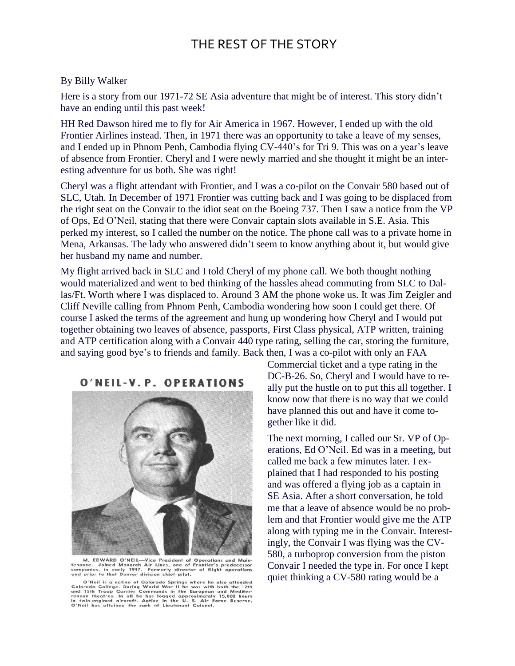## THE REST OF THE STORY

## By Billy Walker

Here is a story from our 1971-72 SE Asia adventure that might be of interest. This story didn't have an ending until this past week!

HH Red Dawson hired me to fly for Air America in 1967. However, I ended up with the old Frontier Airlines instead. Then, in 1971 there was an opportunity to take a leave of my senses, and I ended up in Phnom Penh, Cambodia flying CV-440's for Tri 9. This was on a year's leave of absence from Frontier. Cheryl and I were newly married and she thought it might be an interesting adventure for us both. She was right!

Cheryl was a flight attendant with Frontier, and I was a co-pilot on the Convair 580 based out of SLC, Utah. In December of 1971 Frontier was cutting back and I was going to be displaced from the right seat on the Convair to the idiot seat on the Boeing 737. Then I saw a notice from the VP of Ops, Ed O'Neil, stating that there were Convair captain slots available in S.E. Asia. This perked my interest, so I called the number on the notice. The phone call was to a private home in Mena, Arkansas. The lady who answered didn't seem to know anything about it, but would give her husband my name and number.

My flight arrived back in SLC and I told Cheryl of my phone call. We both thought nothing would materialized and went to bed thinking of the hassles ahead commuting from SLC to Dallas/Ft. Worth where I was displaced to. Around 3 AM the phone woke us. It was Jim Zeigler and Cliff Neville calling from Phnom Penh, Cambodia wondering how soon I could get there. Of course I asked the terms of the agreement and hung up wondering how Cheryl and I would put together obtaining two leaves of absence, passports, First Class physical, ATP written, training and ATP certification along with a Convair 440 type rating, selling the car, storing the furniture, and saying good bye's to friends and family. Back then, I was a co-pilot with only an FAA

## O'NEIL-V.P. OPERATIONS



M. EDWARD O'NEIL—Vice President of Operations and Maintenance. Joined Monarch Air Lines, one of Frontier's predecessor<br>companies, in early 1947. Formerly director of flight operations<br>and prior to that Denver division chie

O'Neil is a native of Colorado Springs where he also attended<br>Colorado College. During World War II he was with both the 12th<br>and 15th Troop Carrier Commands in the European and Mediter-<br>ranean theatres. In all he has logg

Commercial ticket and a type rating in the DC-B-26. So, Cheryl and I would have to really put the hustle on to put this all together. I know now that there is no way that we could have planned this out and have it come together like it did.

The next morning, I called our Sr. VP of Operations, Ed O'Neil. Ed was in a meeting, but called me back a few minutes later. I explained that I had responded to his posting and was offered a flying job as a captain in SE Asia. After a short conversation, he told me that a leave of absence would be no problem and that Frontier would give me the ATP along with typing me in the Convair. Interestingly, the Convair I was flying was the CV-580, a turboprop conversion from the piston Convair I needed the type in. For once I kept quiet thinking a CV-580 rating would be a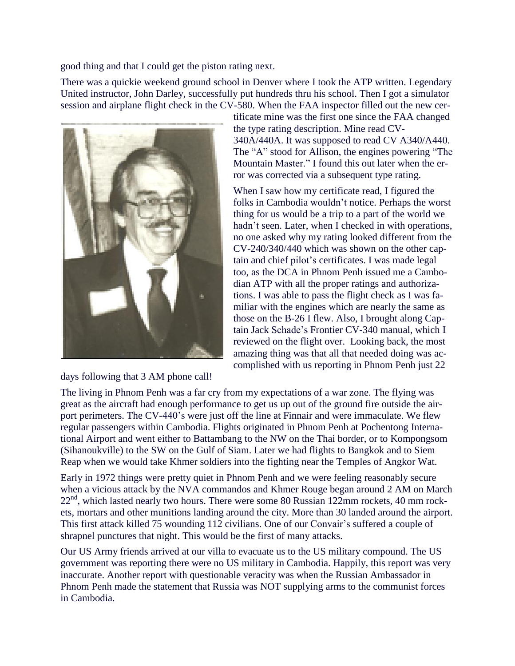good thing and that I could get the piston rating next.

There was a quickie weekend ground school in Denver where I took the ATP written. Legendary United instructor, John Darley, successfully put hundreds thru his school. Then I got a simulator session and airplane flight check in the CV-580. When the FAA inspector filled out the new cer-



days following that 3 AM phone call!

tificate mine was the first one since the FAA changed the type rating description. Mine read CV-340A/440A. It was supposed to read CV A340/A440. The "A" stood for Allison, the engines powering "The Mountain Master." I found this out later when the error was corrected via a subsequent type rating.

When I saw how my certificate read, I figured the folks in Cambodia wouldn't notice. Perhaps the worst thing for us would be a trip to a part of the world we hadn't seen. Later, when I checked in with operations, no one asked why my rating looked different from the CV-240/340/440 which was shown on the other captain and chief pilot's certificates. I was made legal too, as the DCA in Phnom Penh issued me a Cambodian ATP with all the proper ratings and authorizations. I was able to pass the flight check as I was familiar with the engines which are nearly the same as those on the B-26 I flew. Also, I brought along Captain Jack Schade's Frontier CV-340 manual, which I reviewed on the flight over. Looking back, the most amazing thing was that all that needed doing was accomplished with us reporting in Phnom Penh just 22

The living in Phnom Penh was a far cry from my expectations of a war zone. The flying was great as the aircraft had enough performance to get us up out of the ground fire outside the airport perimeters. The CV-440's were just off the line at Finnair and were immaculate. We flew regular passengers within Cambodia. Flights originated in Phnom Penh at Pochentong International Airport and went either to Battambang to the NW on the Thai border, or to Kompongsom (Sihanoukville) to the SW on the Gulf of Siam. Later we had flights to Bangkok and to Siem Reap when we would take Khmer soldiers into the fighting near the Temples of Angkor Wat.

Early in 1972 things were pretty quiet in Phnom Penh and we were feeling reasonably secure when a vicious attack by the NVA commandos and Khmer Rouge began around 2 AM on March 22<sup>nd</sup>, which lasted nearly two hours. There were some 80 Russian 122mm rockets, 40 mm rockets, mortars and other munitions landing around the city. More than 30 landed around the airport. This first attack killed 75 wounding 112 civilians. One of our Convair's suffered a couple of shrapnel punctures that night. This would be the first of many attacks.

Our US Army friends arrived at our villa to evacuate us to the US military compound. The US government was reporting there were no US military in Cambodia. Happily, this report was very inaccurate. Another report with questionable veracity was when the Russian Ambassador in Phnom Penh made the statement that Russia was NOT supplying arms to the communist forces in Cambodia.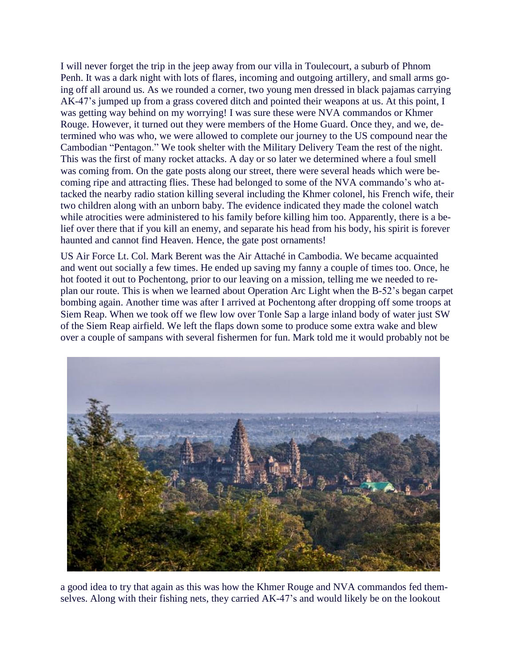I will never forget the trip in the jeep away from our villa in Toulecourt, a suburb of Phnom Penh. It was a dark night with lots of flares, incoming and outgoing artillery, and small arms going off all around us. As we rounded a corner, two young men dressed in black pajamas carrying AK-47's jumped up from a grass covered ditch and pointed their weapons at us. At this point, I was getting way behind on my worrying! I was sure these were NVA commandos or Khmer Rouge. However, it turned out they were members of the Home Guard. Once they, and we, determined who was who, we were allowed to complete our journey to the US compound near the Cambodian "Pentagon." We took shelter with the Military Delivery Team the rest of the night. This was the first of many rocket attacks. A day or so later we determined where a foul smell was coming from. On the gate posts along our street, there were several heads which were becoming ripe and attracting flies. These had belonged to some of the NVA commando's who attacked the nearby radio station killing several including the Khmer colonel, his French wife, their two children along with an unborn baby. The evidence indicated they made the colonel watch while atrocities were administered to his family before killing him too. Apparently, there is a belief over there that if you kill an enemy, and separate his head from his body, his spirit is forever haunted and cannot find Heaven. Hence, the gate post ornaments!

US Air Force Lt. Col. Mark Berent was the Air Attaché in Cambodia. We became acquainted and went out socially a few times. He ended up saving my fanny a couple of times too. Once, he hot footed it out to Pochentong, prior to our leaving on a mission, telling me we needed to replan our route. This is when we learned about Operation Arc Light when the B-52's began carpet bombing again. Another time was after I arrived at Pochentong after dropping off some troops at Siem Reap. When we took off we flew low over Tonle Sap a large inland body of water just SW of the Siem Reap airfield. We left the flaps down some to produce some extra wake and blew over a couple of sampans with several fishermen for fun. Mark told me it would probably not be



a good idea to try that again as this was how the Khmer Rouge and NVA commandos fed themselves. Along with their fishing nets, they carried AK-47's and would likely be on the lookout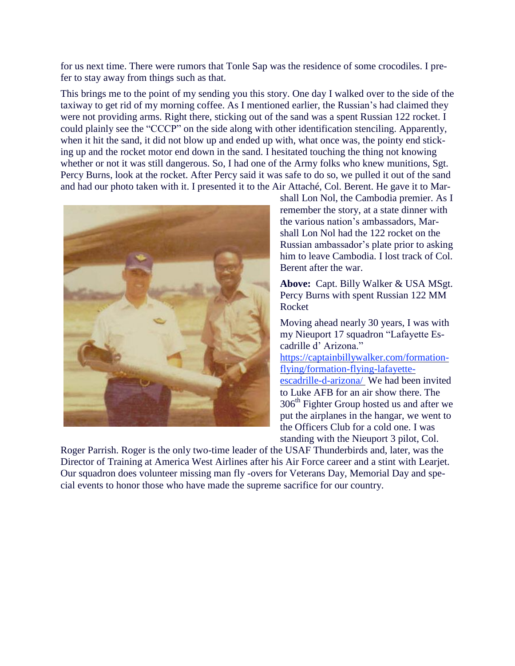for us next time. There were rumors that Tonle Sap was the residence of some crocodiles. I prefer to stay away from things such as that.

This brings me to the point of my sending you this story. One day I walked over to the side of the taxiway to get rid of my morning coffee. As I mentioned earlier, the Russian's had claimed they were not providing arms. Right there, sticking out of the sand was a spent Russian 122 rocket. I could plainly see the "CCCP" on the side along with other identification stenciling. Apparently, when it hit the sand, it did not blow up and ended up with, what once was, the pointy end sticking up and the rocket motor end down in the sand. I hesitated touching the thing not knowing whether or not it was still dangerous. So, I had one of the Army folks who knew munitions, Sgt. Percy Burns, look at the rocket. After Percy said it was safe to do so, we pulled it out of the sand and had our photo taken with it. I presented it to the Air Attaché, Col. Berent. He gave it to Mar-



shall Lon Nol, the Cambodia premier. As I remember the story, at a state dinner with the various nation's ambassadors, Marshall Lon Nol had the 122 rocket on the Russian ambassador's plate prior to asking him to leave Cambodia. I lost track of Col. Berent after the war.

**Above:** Capt. Billy Walker & USA MSgt. Percy Burns with spent Russian 122 MM Rocket

Moving ahead nearly 30 years, I was with my Nieuport 17 squadron "Lafayette Escadrille d' Arizona."

https://captainbillywalker.com/formationflying/formation-flying-lafayetteescadrille-d-arizona/ We had been invited to Luke AFB for an air show there. The 306<sup>th</sup> Fighter Group hosted us and after we put the airplanes in the hangar, we went to the Officers Club for a cold one. I was standing with the Nieuport 3 pilot, Col.

Roger Parrish. Roger is the only two-time leader of the USAF Thunderbirds and, later, was the Director of Training at America West Airlines after his Air Force career and a stint with Learjet. Our squadron does volunteer missing man fly -overs for Veterans Day, Memorial Day and special events to honor those who have made the supreme sacrifice for our country.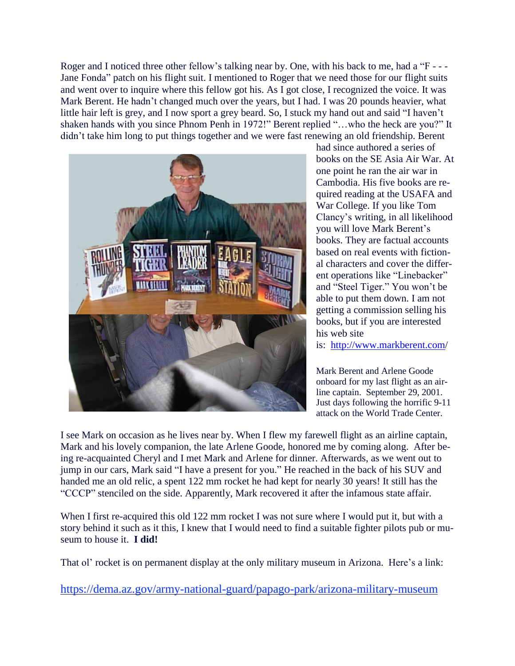Roger and I noticed three other fellow's talking near by. One, with his back to me, had a "F - --Jane Fonda" patch on his flight suit. I mentioned to Roger that we need those for our flight suits and went over to inquire where this fellow got his. As I got close, I recognized the voice. It was Mark Berent. He hadn't changed much over the years, but I had. I was 20 pounds heavier, what little hair left is grey, and I now sport a grey beard. So, I stuck my hand out and said "I haven't shaken hands with you since Phnom Penh in 1972!" Berent replied "…who the heck are you?" It didn't take him long to put things together and we were fast renewing an old friendship. Berent



had since authored a series of books on the SE Asia Air War. At one point he ran the air war in Cambodia. His five books are required reading at the USAFA and War College. If you like Tom Clancy's writing, in all likelihood you will love Mark Berent's books. They are factual accounts based on real events with fictional characters and cover the different operations like "Linebacker" and "Steel Tiger." You won't be able to put them down. I am not getting a commission selling his books, but if you are interested his web site is: <http://www.markberent.com/>

Mark Berent and Arlene Goode onboard for my last flight as an airline captain. September 29, 2001. Just days following the horrific 9-11 attack on the World Trade Center.

I see Mark on occasion as he lives near by. When I flew my farewell flight as an airline captain, Mark and his lovely companion, the late Arlene Goode, honored me by coming along. After being re-acquainted Cheryl and I met Mark and Arlene for dinner. Afterwards, as we went out to jump in our cars, Mark said "I have a present for you." He reached in the back of his SUV and handed me an old relic, a spent 122 mm rocket he had kept for nearly 30 years! It still has the "CCCP" stenciled on the side. Apparently, Mark recovered it after the infamous state affair.

When I first re-acquired this old 122 mm rocket I was not sure where I would put it, but with a story behind it such as it this, I knew that I would need to find a suitable fighter pilots pub or museum to house it. **I did!**

That ol' rocket is on permanent display at the only military museum in Arizona. Here's a link:

https://dema.az.gov/army-national-guard/papago-park/arizona-military-museum